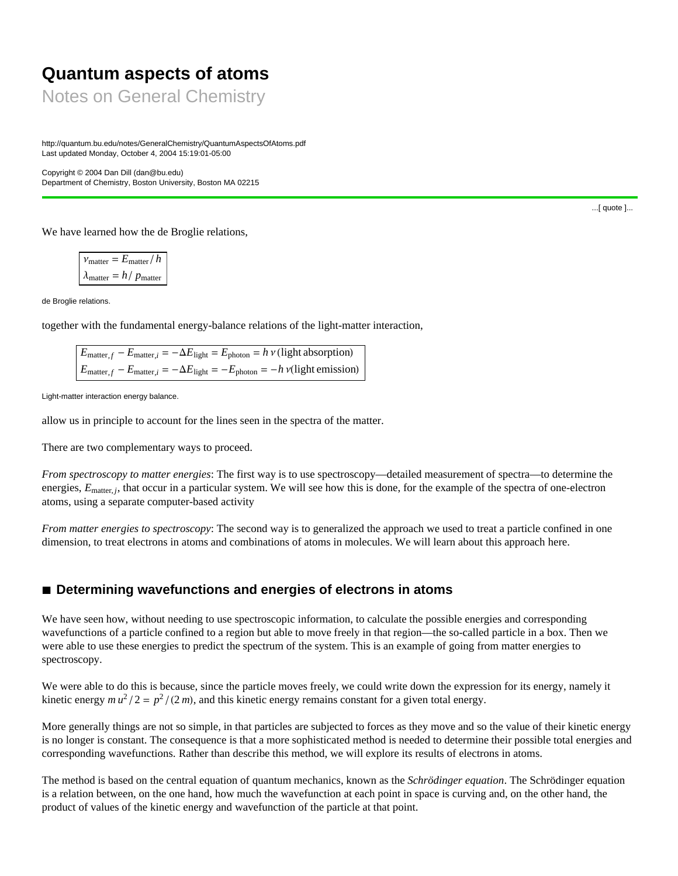# **Quantum aspects of atoms**

Notes on General Chemistry

http://quantum.bu.edu/notes/GeneralChemistry/QuantumAspectsOfAtoms.pdf Last updated Monday, October 4, 2004 15:19:01-05:00

Copyright © 2004 Dan Dill (dan@bu.edu) Department of Chemistry, Boston University, Boston MA 02215

We have learned how the de Broglie relations,

 $v_{\text{matter}} = E_{\text{matter}}/h$  $\lambda_{\text{matter}} = h / p_{\text{matter}}$ 

de Broglie relations.

together with the fundamental energy-balance relations of the light-matter interaction,

 $E_{\text{matter } f} - E_{\text{matter } i} = -\Delta E_{\text{light}} = E_{\text{photon}} = h \nu \text{ (light absorption)}$  $E_{\text{matter}, f} - E_{\text{matter}, i} = -\Delta E_{\text{light}} = -E_{\text{photon}} = -h \nu(\text{light emission})$ 

Light-matter interaction energy balance.

allow us in principle to account for the lines seen in the spectra of the matter.

There are two complementary ways to proceed.

*From spectroscopy to matter energies*: The first way is to use spectroscopy—detailed measurement of spectra—to determine the energies,  $E_{\text{matter}}$ , that occur in a particular system. We will see how this is done, for the example of the spectra of one-electron atoms, using a separate computer-based activity

*From matter energies to spectroscopy*: The second way is to generalized the approach we used to treat a particle confined in one dimension, to treat electrons in atoms and combinations of atoms in molecules. We will learn about this approach here.

## ■ Determining wavefunctions and energies of electrons in atoms

We have seen how, without needing to use spectroscopic information, to calculate the possible energies and corresponding wavefunctions of a particle confined to a region but able to move freely in that region—the so-called particle in a box. Then we were able to use these energies to predict the spectrum of the system. This is an example of going from matter energies to spectroscopy.

We were able to do this is because, since the particle moves freely, we could write down the expression for its energy, namely it kinetic energy  $mu^2/2 = p^2/(2m)$ , and this kinetic energy remains constant for a given total energy.

More generally things are not so simple, in that particles are subjected to forces as they move and so the value of their kinetic energy is no longer is constant. The consequence is that a more sophisticated method is needed to determine their possible total energies and corresponding wavefunctions. Rather than describe this method, we will explore its results of electrons in atoms.

The method is based on the central equation of quantum mechanics, known as the *Schrödinger equation*. The Schrödinger equation is a relation between, on the one hand, how much the wavefunction at each point in space is curving and, on the other hand, the product of values of the kinetic energy and wavefunction of the particle at that point.

...[ quote ]...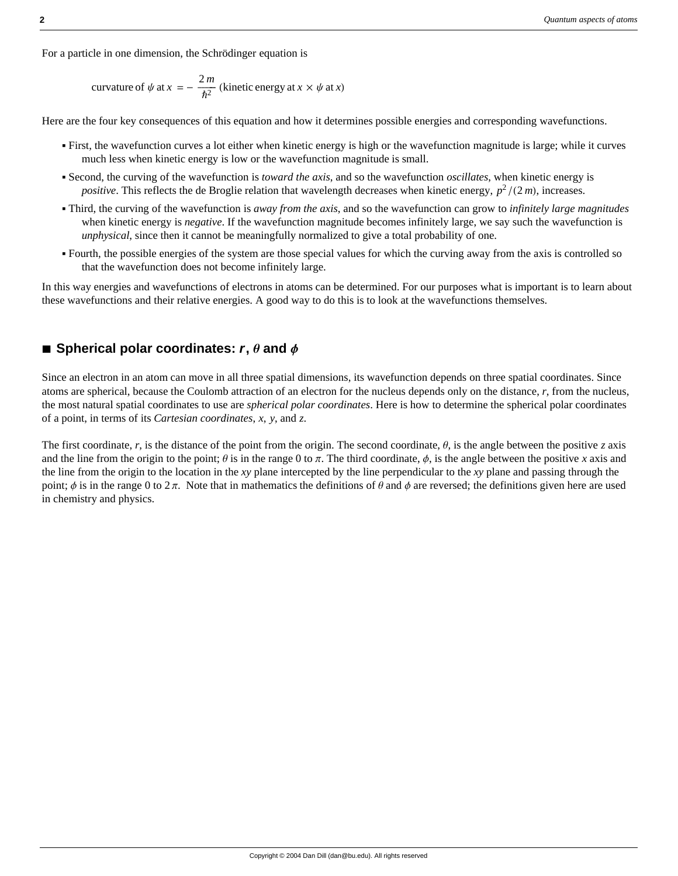For a particle in one dimension, the Schrödinger equation is

curvature of 
$$
\psi
$$
 at  $x = -\frac{2m}{\hbar^2}$  (kinetic energy at  $x \times \psi$  at x)

Here are the four key consequences of this equation and how it determines possible energies and corresponding wavefunctions.

- ä First, the wavefunction curves a lot either when kinetic energy is high or the wavefunction magnitude is large; while it curves much less when kinetic energy is low or the wavefunction magnitude is small.
- ä Second, the curving of the wavefunction is *toward the axis*, and so the wavefunction *oscillates*, when kinetic energy is *positive*. This reflects the de Broglie relation that wavelength decreases when kinetic energy,  $p^2/(2m)$ , increases.
- ä Third, the curving of the wavefunction is *away from the axis*, and so the wavefunction can grow to *infinitely large magnitudes* when kinetic energy is *negative*. If the wavefunction magnitude becomes infinitely large, we say such the wavefunction is *unphysical*, since then it cannot be meaningfully normalized to give a total probability of one.
- ä Fourth, the possible energies of the system are those special values for which the curving away from the axis is controlled so that the wavefunction does not become infinitely large.

In this way energies and wavefunctions of electrons in atoms can be determined. For our purposes what is important is to learn about these wavefunctions and their relative energies. A good way to do this is to look at the wavefunctions themselves.

### $\blacksquare$  Spherical polar coordinates:  $\mathbf{r}, \mathbf{\theta}$  and  $\mathbf{\phi}$

Since an electron in an atom can move in all three spatial dimensions, its wavefunction depends on three spatial coordinates. Since atoms are spherical, because the Coulomb attraction of an electron for the nucleus depends only on the distance, *r*, from the nucleus, the most natural spatial coordinates to use are *spherical polar coordinates*. Here is how to determine the spherical polar coordinates of a point, in terms of its *Cartesian coordinates*, *x*, *y*, and *z*.

The first coordinate, r, is the distance of the point from the origin. The second coordinate,  $\theta$ , is the angle between the positive *z* axis and the line from the origin to the point;  $\theta$  is in the range 0 to  $\pi$ . The third coordinate,  $\phi$ , is the angle between the positive *x* axis and the line from the origin to the location in the *xy* plane intercepted by the line perpendicular to the *xy* plane and passing through the point;  $\phi$  is in the range 0 to 2  $\pi$ . Note that in mathematics the definitions of  $\theta$  and  $\phi$  are reversed; the definitions given here are used in chemistry and physics.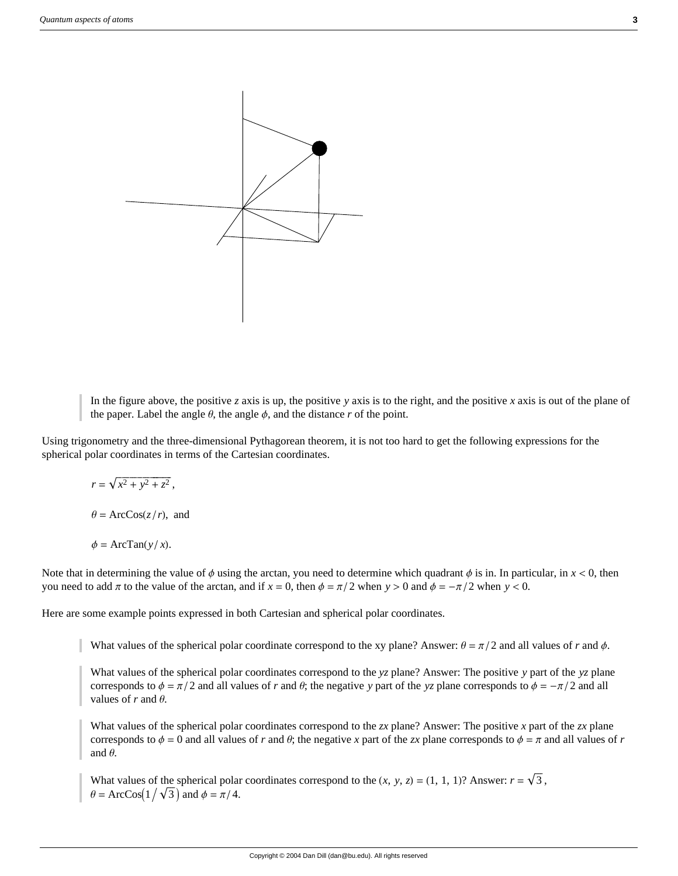

In the figure above, the positive *z* axis is up, the positive *y* axis is to the right, and the positive *x* axis is out of the plane of the paper. Label the angle  $\theta$ , the angle  $\phi$ , and the distance *r* of the point.

Using trigonometry and the three-dimensional Pythagorean theorem, it is not too hard to get the following expressions for the spherical polar coordinates in terms of the Cartesian coordinates.

 $r = \sqrt{x^2 + y^2 + z^2}$  $\theta = \text{ArcCos}(z/r)$ , and

 $\phi = \text{ArcTan}(y/x)$ .

Note that in determining the value of  $\phi$  using the arctan, you need to determine which quadrant  $\phi$  is in. In particular, in  $x < 0$ , then you need to add  $\pi$  to the value of the arctan, and if  $x = 0$ , then  $\phi = \pi/2$  when  $y > 0$  and  $\phi = -\pi/2$  when  $y < 0$ .

Here are some example points expressed in both Cartesian and spherical polar coordinates.

What values of the spherical polar coordinate correspond to the xy plane? Answer:  $\theta = \pi/2$  and all values of *r* and  $\phi$ .

What values of the spherical polar coordinates correspond to the *yz* plane? Answer: The positive *y* part of the *yz* plane corresponds to  $\phi = \pi/2$  and all values of *r* and  $\theta$ ; the negative *y* part of the *yz* plane corresponds to  $\phi = -\pi/2$  and all values of  $r$  and  $\theta$ .

What values of the spherical polar coordinates correspond to the *zx* plane? Answer: The positive *x* part of the *zx* plane corresponds to  $\phi = 0$  and all values of *r* and  $\theta$ ; the negative *x* part of the *zx* plane corresponds to  $\phi = \pi$  and all values of *r* and  $\theta$ .

What values of the spherical polar coordinates correspond to the  $(x, y, z) = (1, 1, 1)$ ? Answer:  $r = \sqrt{3}$ ,  $\theta = \text{ArcCos}(1/\sqrt{3})$  and  $\phi = \pi/4$ .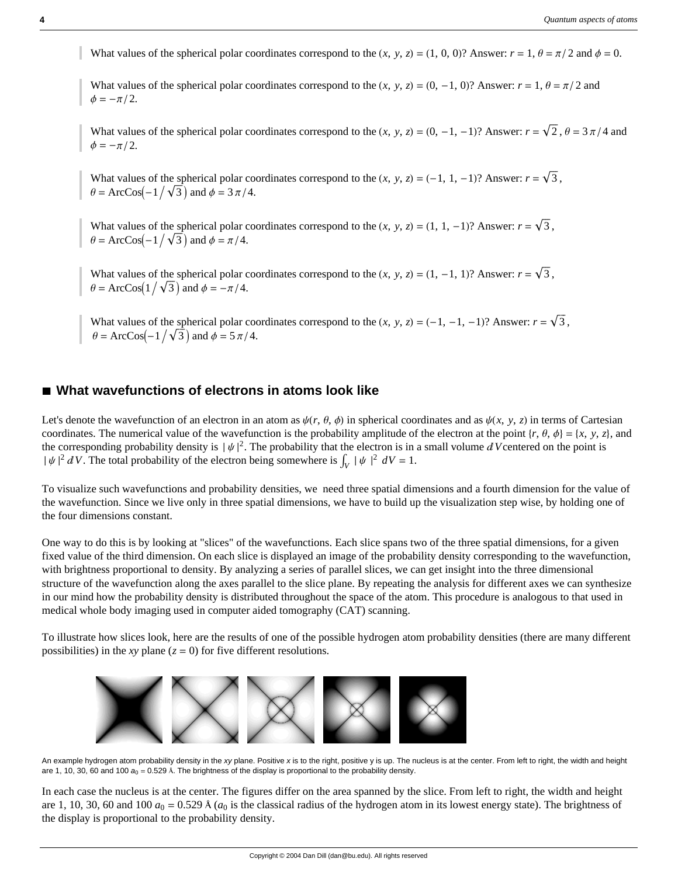What values of the spherical polar coordinates correspond to the  $(x, y, z) = (1, 0, 0)$ ? Answer:  $r = 1$ ,  $\theta = \pi/2$  and  $\phi = 0$ .

What values of the spherical polar coordinates correspond to the  $(x, y, z) = (0, -1, 0)$ ? Answer:  $r = 1, \theta = \pi/2$  and  $\phi=-\pi/2$ .

What values of the spherical polar coordinates correspond to the  $(x, y, z) = (0, -1, -1)$ ? Answer:  $r = \sqrt{2}$ ,  $\theta = 3\pi/4$  and  $\phi=-\pi/2$ .

What values of the spherical polar coordinates correspond to the  $(x, y, z) = (-1, 1, -1)$ ? Answer:  $r = \sqrt{3}$ ,  $\theta = \text{ArcCos}(-1/\sqrt{3})$  and  $\phi = 3\pi/4$ .

What values of the spherical polar coordinates correspond to the  $(x, y, z) = (1, 1, -1)$ ? Answer:  $r = \sqrt{3}$ ,  $\theta = \text{ArcCos}(-1/\sqrt{3})$  and  $\phi = \pi/4$ .

What values of the spherical polar coordinates correspond to the  $(x, y, z) = (1, -1, 1)$ ? Answer:  $r = \sqrt{3}$ .  $\theta = \text{ArcCos}(1/\sqrt{3})$  and  $\phi = -\pi/4$ .

What values of the spherical polar coordinates correspond to the  $(x, y, z) = (-1, -1, -1)$ ? Answer:  $r = \sqrt{3}$ ,  $\theta = \text{ArcCos}(-1/\sqrt{3})$  and  $\phi = 5\pi/4$ .

### ■ What wavefunctions of electrons in atoms look like

Let's denote the wavefunction of an electron in an atom as  $\psi(r, \theta, \phi)$  in spherical coordinates and as  $\psi(x, y, z)$  in terms of Cartesian coordinates. The numerical value of the wavefunction is the probability amplitude of the electron at the point  $\{r, \theta, \phi\} = \{x, y, z\}$ , and the corresponding probability density is  $|\psi|^2$ . The probability that the electron is in a small volume d V centered on the point is  $|\psi|^2 dV$ . The total probability of the electron being somewhere is  $\int_V |\psi|^2 dV = 1$ .

To visualize such wavefunctions and probability densities, we need three spatial dimensions and a fourth dimension for the value of the wavefunction. Since we live only in three spatial dimensions, we have to build up the visualization step wise, by holding one of the four dimensions constant.

One way to do this is by looking at "slices" of the wavefunctions. Each slice spans two of the three spatial dimensions, for a given fixed value of the third dimension. On each slice is displayed an image of the probability density corresponding to the wavefunction, with brightness proportional to density. By analyzing a series of parallel slices, we can get insight into the three dimensional structure of the wavefunction along the axes parallel to the slice plane. By repeating the analysis for different axes we can synthesize in our mind how the probability density is distributed throughout the space of the atom. This procedure is analogous to that used in medical whole body imaging used in computer aided tomography (CAT) scanning.

To illustrate how slices look, here are the results of one of the possible hydrogen atom probability densities (there are many different possibilities) in the *xy* plane  $(z = 0)$  for five different resolutions.



An example hydrogen atom probability density in the *xy* plane. Positive *x* is to the right, positive y is up. The nucleus is at the center. From left to right, the width and height are 1, 10, 30, 60 and 100  $a_0 = 0.529$  Å. The brightness of the display is proportional to the probability density.

In each case the nucleus is at the center. The figures differ on the area spanned by the slice. From left to right, the width and height are 1, 10, 30, 60 and 100  $a_0 = 0.529$  Å  $(a_0$  is the classical radius of the hydrogen atom in its lowest energy state). The brightness of the display is proportional to the probability density.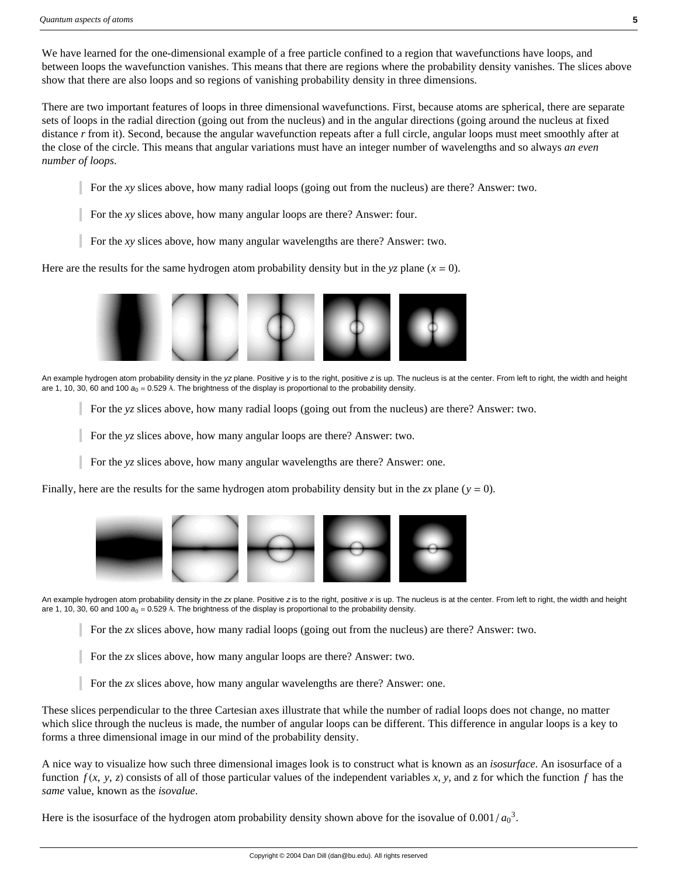We have learned for the one-dimensional example of a free particle confined to a region that wavefunctions have loops, and between loops the wavefunction vanishes. This means that there are regions where the probability density vanishes. The slices above show that there are also loops and so regions of vanishing probability density in three dimensions.

There are two important features of loops in three dimensional wavefunctions. First, because atoms are spherical, there are separate sets of loops in the radial direction (going out from the nucleus) and in the angular directions (going around the nucleus at fixed distance *r* from it). Second, because the angular wavefunction repeats after a full circle, angular loops must meet smoothly after at the close of the circle. This means that angular variations must have an integer number of wavelengths and so always *an even number of loops*.

- For the *xy* slices above, how many radial loops (going out from the nucleus) are there? Answer: two.
- For the *xy* slices above, how many angular loops are there? Answer: four.
- For the *xy* slices above, how many angular wavelengths are there? Answer: two.

Here are the results for the same hydrogen atom probability density but in the  $yz$  plane  $(x = 0)$ .



- An example hydrogen atom probability density in the *yz* plane. Positive *y* is to the right, positive *z* is up. The nucleus is at the center. From left to right, the width and height are 1, 10, 30, 60 and 100  $a_0 = 0.529$  Å. The brightness of the display is proportional to the probability density.
	- For the *yz* slices above, how many radial loops (going out from the nucleus) are there? Answer: two.

For the *yz* slices above, how many angular loops are there? Answer: two.

For the *yz* slices above, how many angular wavelengths are there? Answer: one.

Finally, here are the results for the same hydrogen atom probability density but in the *zx* plane ( $y = 0$ ).



An example hydrogen atom probability density in the *zx* plane. Positive *z* is to the right, positive *x* is up. The nucleus is at the center. From left to right, the width and height are 1, 10, 30, 60 and 100  $a_0 = 0.529$  Å. The brightness of the display is proportional to the probability density.

For the *zx* slices above, how many radial loops (going out from the nucleus) are there? Answer: two.

For the *zx* slices above, how many angular loops are there? Answer: two.

For the *zx* slices above, how many angular wavelengths are there? Answer: one.

These slices perpendicular to the three Cartesian axes illustrate that while the number of radial loops does not change, no matter which slice through the nucleus is made, the number of angular loops can be different. This difference in angular loops is a key to forms a three dimensional image in our mind of the probability density.

A nice way to visualize how such three dimensional images look is to construct what is known as an *isosurface*. An isosurface of a function  $f(x, y, z)$  consists of all of those particular values of the independent variables x, y, and z for which the function  $f$  has the *same* value, known as the *isovalue*.

Here is the isosurface of the hydrogen atom probability density shown above for the isovalue of  $0.001/a_0^3$ .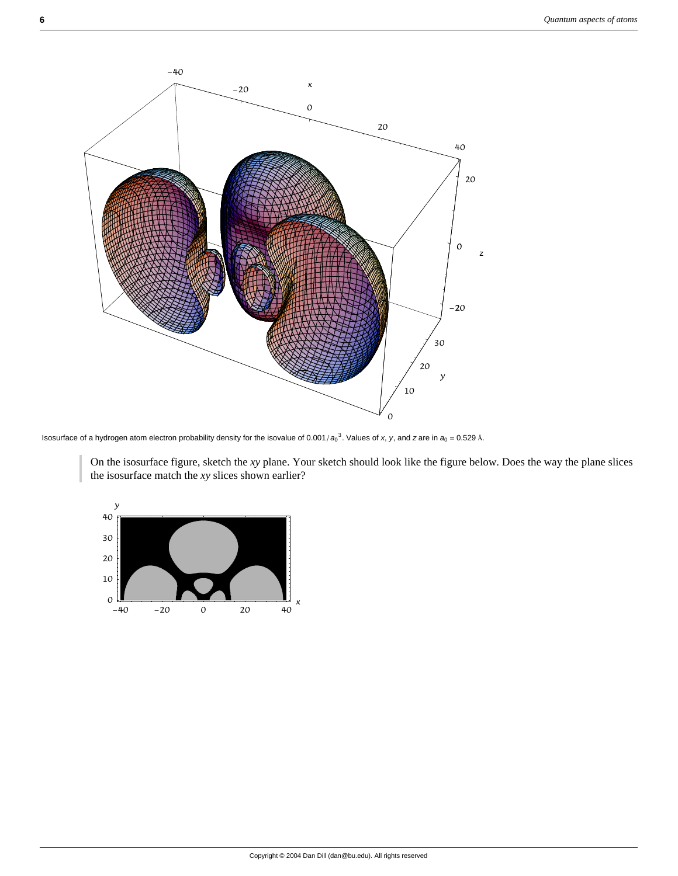

Isosurface of a hydrogen atom electron probability density for the isovalue of 0.001/ $a_0^3$ . Values of *x*, *y*, and *z* are in  $a_0 = 0.529$  Å.

On the isosurface figure, sketch the *xy* plane. Your sketch should look like the figure below. Does the way the plane slices the isosurface match the *xy* slices shown earlier?

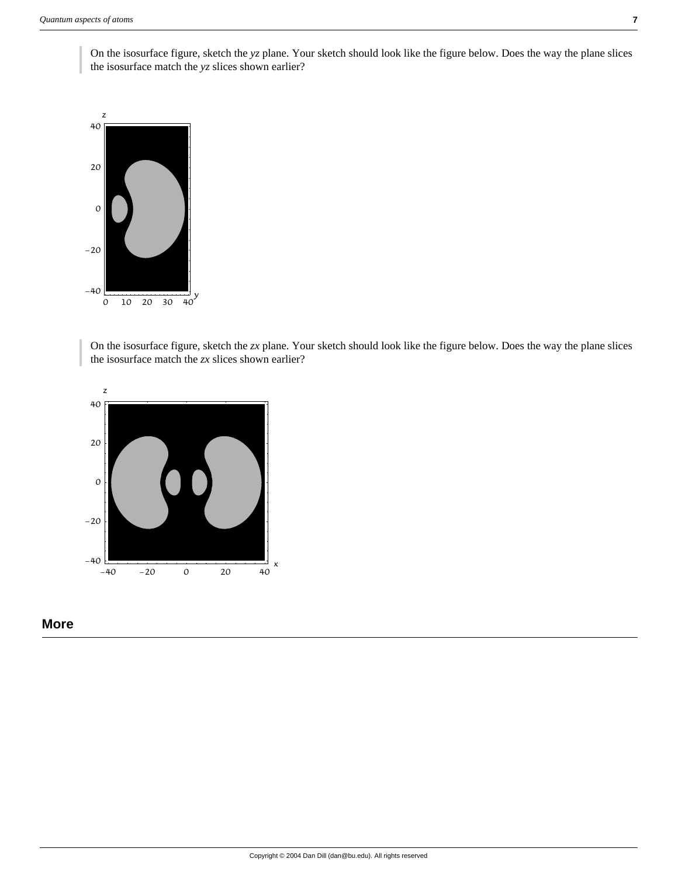On the isosurface figure, sketch the *yz* plane. Your sketch should look like the figure below. Does the way the plane slices the isosurface match the *yz* slices shown earlier?



On the isosurface figure, sketch the *zx* plane. Your sketch should look like the figure below. Does the way the plane slices the isosurface match the *zx* slices shown earlier?



### **More**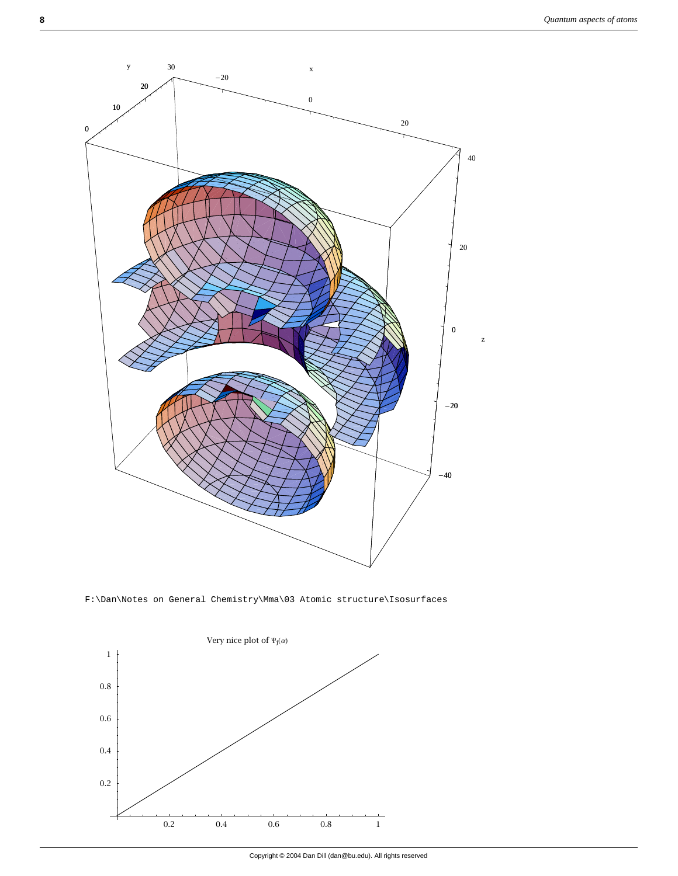

F:\Dan\Notes on General Chemistry\Mma\03 Atomic structure\Isosurfaces

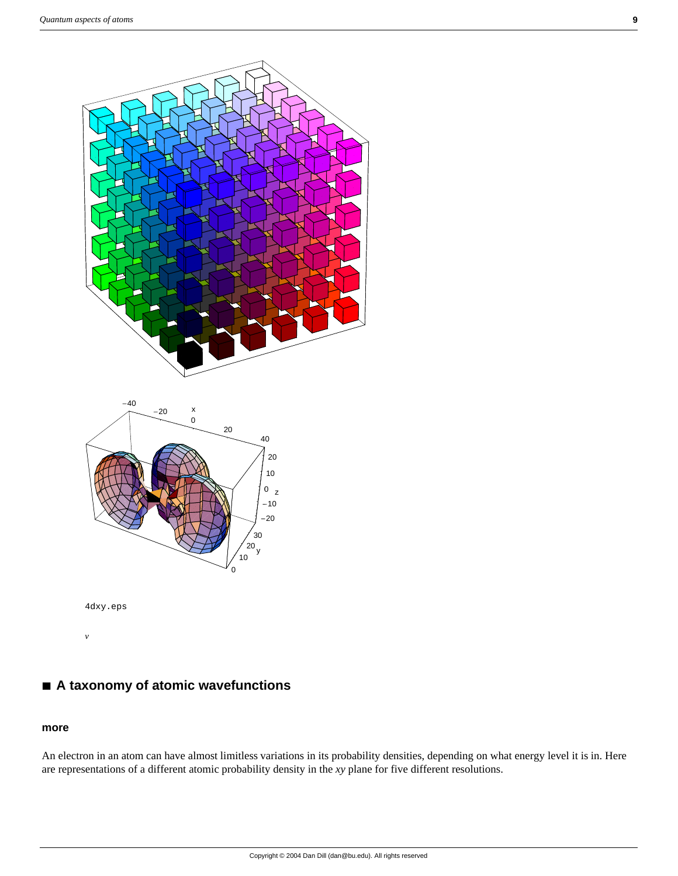



4dxy.eps

*v*

# **à A taxonomy of atomic wavefunctions**

#### **more**

An electron in an atom can have almost limitless variations in its probability densities, depending on what energy level it is in. Here are representations of a different atomic probability density in the *xy* plane for five different resolutions.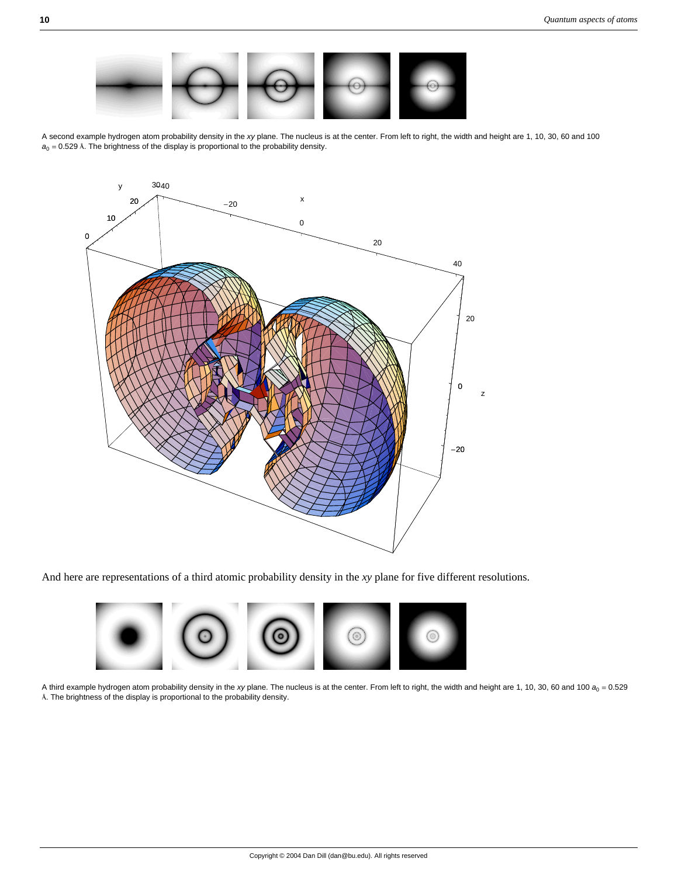

A second example hydrogen atom probability density in the *xy* plane. The nucleus is at the center. From left to right, the width and height are 1, 10, 30, 60 and 100  $a_0 = 0.529$  Å. The brightness of the display is proportional to the probability density.



And here are representations of a third atomic probability density in the *xy* plane for five different resolutions.



A third example hydrogen atom probability density in the *xy* plane. The nucleus is at the center. From left to right, the width and height are 1, 10, 30, 60 and 100 *a*<sup>0</sup> = 0.529 Å. The brightness of the display is proportional to the probability density.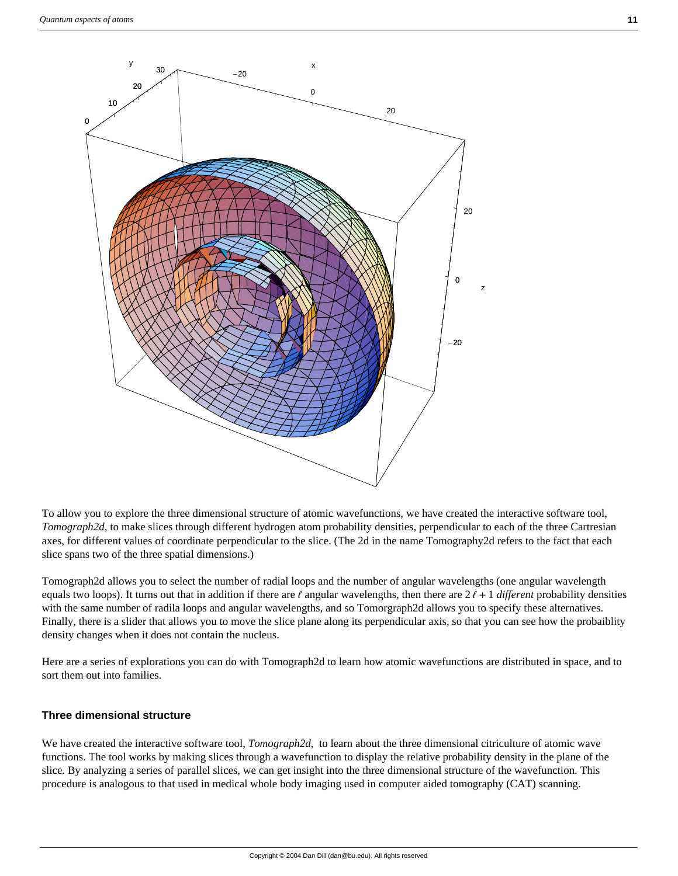



To allow you to explore the three dimensional structure of atomic wavefunctions, we have created the interactive software tool, *Tomograph2d*, to make slices through different hydrogen atom probability densities, perpendicular to each of the three Cartresian axes, for different values of coordinate perpendicular to the slice. (The 2d in the name Tomography2d refers to the fact that each slice spans two of the three spatial dimensions.)

Tomograph2d allows you to select the number of radial loops and the number of angular wavelengths (one angular wavelength equals two loops). It turns out that in addition if there are  $\ell$  angular wavelengths, then there are  $2\ell + 1$  different probability densities with the same number of radila loops and angular wavelengths, and so Tomorgraph2d allows you to specify these alternatives. Finally, there is a slider that allows you to move the slice plane along its perpendicular axis, so that you can see how the probaiblity density changes when it does not contain the nucleus.

Here are a series of explorations you can do with Tomograph2d to learn how atomic wavefunctions are distributed in space, and to sort them out into families.

### **Three dimensional structure**

We have created the interactive software tool, *Tomograph2d*, to learn about the three dimensional citriculture of atomic wave functions. The tool works by making slices through a wavefunction to display the relative probability density in the plane of the slice. By analyzing a series of parallel slices, we can get insight into the three dimensional structure of the wavefunction. This procedure is analogous to that used in medical whole body imaging used in computer aided tomography (CAT) scanning.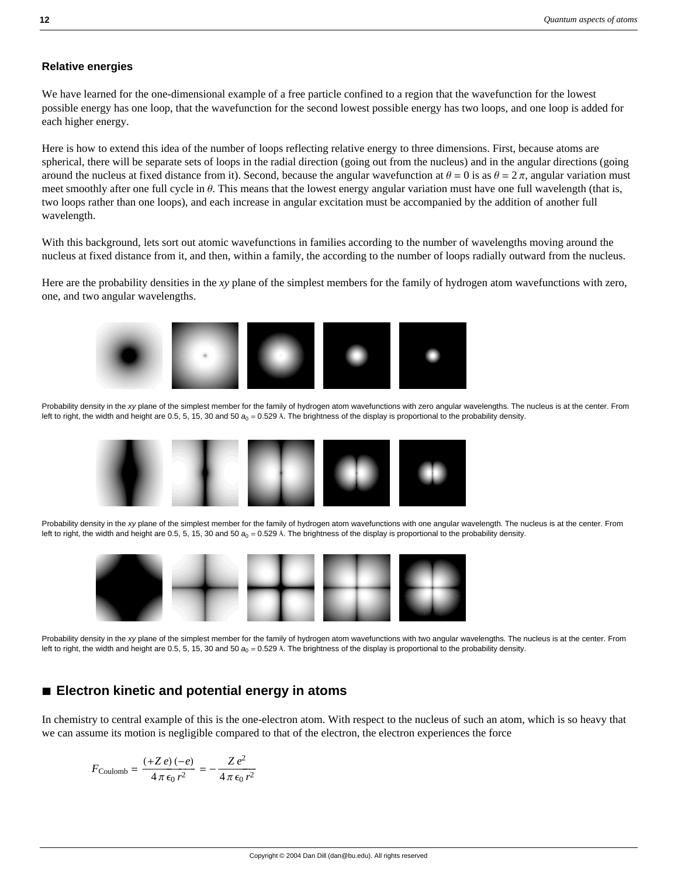#### **Relative energies**

We have learned for the one-dimensional example of a free particle confined to a region that the wavefunction for the lowest possible energy has one loop, that the wavefunction for the second lowest possible energy has two loops, and one loop is added for each higher energy.

Here is how to extend this idea of the number of loops reflecting relative energy to three dimensions. First, because atoms are spherical, there will be separate sets of loops in the radial direction (going out from the nucleus) and in the angular directions (going around the nucleus at fixed distance from it). Second, because the angular wavefunction at  $\theta = 0$  is as  $\theta = 2\pi$ , angular variation must meet smoothly after one full cycle in  $\theta$ . This means that the lowest energy angular variation must have one full wavelength (that is, two loops rather than one loops), and each increase in angular excitation must be accompanied by the addition of another full wavelength.

With this background, lets sort out atomic wavefunctions in families according to the number of wavelengths moving around the nucleus at fixed distance from it, and then, within a family, the according to the number of loops radially outward from the nucleus.

Here are the probability densities in the *xy* plane of the simplest members for the family of hydrogen atom wavefunctions with zero, one, and two angular wavelengths.



Probability density in the *xy* plane of the simplest member for the family of hydrogen atom wavefunctions with zero angular wavelengths. The nucleus is at the center. From left to right, the width and height are 0.5, 5, 15, 30 and 50  $a_0 = 0.529$  Å. The brightness of the display is proportional to the probability density.



Probability density in the *xy* plane of the simplest member for the family of hydrogen atom wavefunctions with one angular wavelength. The nucleus is at the center. From left to right, the width and height are 0.5, 5, 15, 30 and 50  $a_0 = 0.529$  Å. The brightness of the display is proportional to the probability density.



Probability density in the *xy* plane of the simplest member for the family of hydrogen atom wavefunctions with two angular wavelengths. The nucleus is at the center. From left to right, the width and height are 0.5, 5, 15, 30 and 50  $a<sub>0</sub> = 0.529$  Å. The brightness of the display is proportional to the probability density.

### **à Electron kinetic and potential energy in atoms**

In chemistry to central example of this is the one-electron atom. With respect to the nucleus of such an atom, which is so heavy that we can assume its motion is negligible compared to that of the electron, the electron experiences the force

$$
F_{\text{Coulomb}} = \frac{(+Z \, e) \, (-e)}{4 \, \pi \, \epsilon_0 \, r^2} = -\frac{Z \, e^2}{4 \, \pi \, \epsilon_0 \, r^2}
$$